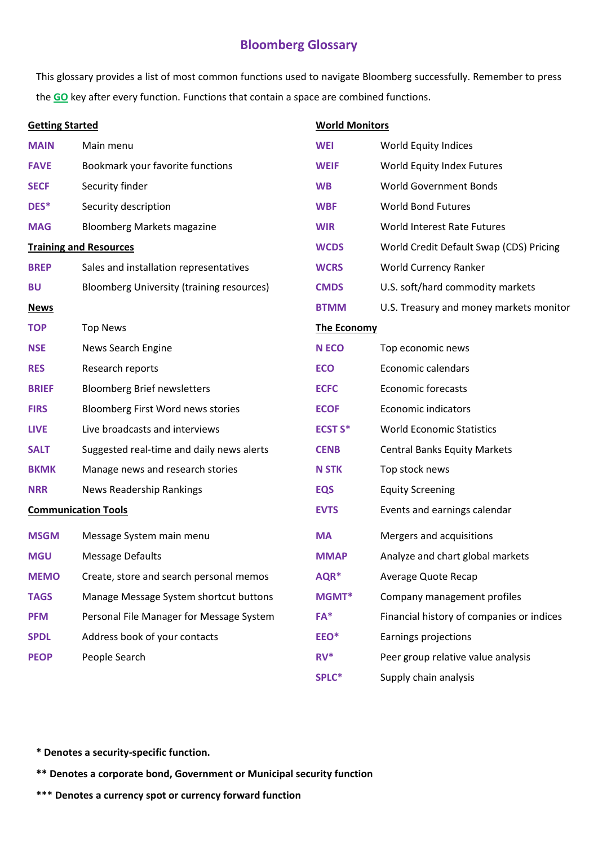## **Bloomberg Glossary**

This glossary provides a list of most common functions used to navigate Bloomberg successfully. Remember to press the **GO** key after every function. Functions that contain a space are combined functions.

| <b>Getting Started</b>        |                                           |                    | <b>World Monitors</b>                     |  |
|-------------------------------|-------------------------------------------|--------------------|-------------------------------------------|--|
| <b>MAIN</b>                   | Main menu                                 | <b>WEI</b>         | World Equity Indices                      |  |
| <b>FAVE</b>                   | Bookmark your favorite functions          | <b>WEIF</b>        | World Equity Index Futures                |  |
| <b>SECF</b>                   | Security finder                           | <b>WB</b>          | <b>World Government Bonds</b>             |  |
| DES*                          | Security description                      | <b>WBF</b>         | <b>World Bond Futures</b>                 |  |
| <b>MAG</b>                    | <b>Bloomberg Markets magazine</b>         | <b>WIR</b>         | World Interest Rate Futures               |  |
| <b>Training and Resources</b> |                                           | <b>WCDS</b>        | World Credit Default Swap (CDS) Pricing   |  |
| <b>BREP</b>                   | Sales and installation representatives    | <b>WCRS</b>        | World Currency Ranker                     |  |
| <b>BU</b>                     | Bloomberg University (training resources) | <b>CMDS</b>        | U.S. soft/hard commodity markets          |  |
| <b>News</b>                   |                                           | <b>BTMM</b>        | U.S. Treasury and money markets monitor   |  |
| <b>TOP</b>                    | <b>Top News</b>                           | <b>The Economy</b> |                                           |  |
| <b>NSE</b>                    | News Search Engine                        | <b>N ECO</b>       | Top economic news                         |  |
| <b>RES</b>                    | Research reports                          | <b>ECO</b>         | Economic calendars                        |  |
| <b>BRIEF</b>                  | <b>Bloomberg Brief newsletters</b>        | <b>ECFC</b>        | <b>Economic forecasts</b>                 |  |
| <b>FIRS</b>                   | Bloomberg First Word news stories         | <b>ECOF</b>        | <b>Economic indicators</b>                |  |
| <b>LIVE</b>                   | Live broadcasts and interviews            | <b>ECST S*</b>     | <b>World Economic Statistics</b>          |  |
| <b>SALT</b>                   | Suggested real-time and daily news alerts | <b>CENB</b>        | <b>Central Banks Equity Markets</b>       |  |
| <b>BKMK</b>                   | Manage news and research stories          | <b>N STK</b>       | Top stock news                            |  |
| <b>NRR</b>                    | <b>News Readership Rankings</b>           | <b>EQS</b>         | <b>Equity Screening</b>                   |  |
| <b>Communication Tools</b>    |                                           | <b>EVTS</b>        | Events and earnings calendar              |  |
| <b>MSGM</b>                   | Message System main menu                  | <b>MA</b>          | Mergers and acquisitions                  |  |
| <b>MGU</b>                    | <b>Message Defaults</b>                   | <b>MMAP</b>        | Analyze and chart global markets          |  |
| <b>MEMO</b>                   | Create, store and search personal memos   | AQR*               | Average Quote Recap                       |  |
| <b>TAGS</b>                   | Manage Message System shortcut buttons    | MGMT*              | Company management profiles               |  |
| <b>PFM</b>                    | Personal File Manager for Message System  | $FA*$              | Financial history of companies or indices |  |
| <b>SPDL</b>                   | Address book of your contacts             | EEO*               | Earnings projections                      |  |
| <b>PEOP</b>                   | People Search                             | $RV^*$             | Peer group relative value analysis        |  |
|                               |                                           | SPLC*              | Supply chain analysis                     |  |

**\* Denotes a security-specific function.** 

**\*\* Denotes a corporate bond, Government or Municipal security function** 

**\*\*\* Denotes a currency spot or currency forward function**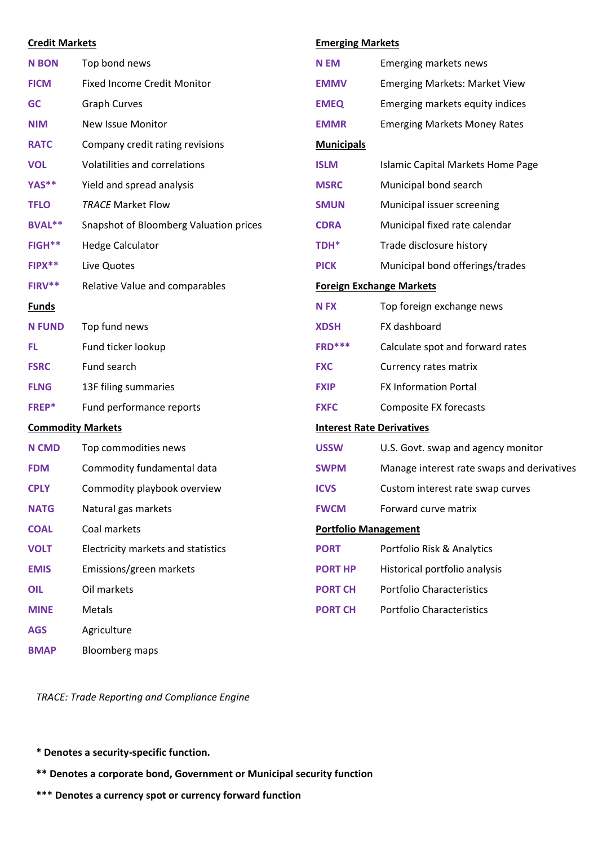| <b>Credit Markets</b>    |                                        |                   | <b>Emerging Markets</b>                    |  |
|--------------------------|----------------------------------------|-------------------|--------------------------------------------|--|
| <b>N BON</b>             | Top bond news                          | <b>N EM</b>       | Emerging markets news                      |  |
| <b>FICM</b>              | <b>Fixed Income Credit Monitor</b>     | <b>EMMV</b>       | <b>Emerging Markets: Market View</b>       |  |
| <b>GC</b>                | <b>Graph Curves</b>                    | <b>EMEQ</b>       | Emerging markets equity indices            |  |
| <b>NIM</b>               | New Issue Monitor                      | <b>EMMR</b>       | <b>Emerging Markets Money Rates</b>        |  |
| <b>RATC</b>              | Company credit rating revisions        | <b>Municipals</b> |                                            |  |
| <b>VOL</b>               | Volatilities and correlations          | <b>ISLM</b>       | <b>Islamic Capital Markets Home Page</b>   |  |
| YAS**                    | Yield and spread analysis              | <b>MSRC</b>       | Municipal bond search                      |  |
| <b>TFLO</b>              | <b>TRACE Market Flow</b>               | <b>SMUN</b>       | Municipal issuer screening                 |  |
| BVAL**                   | Snapshot of Bloomberg Valuation prices | <b>CDRA</b>       | Municipal fixed rate calendar              |  |
| FIGH**                   | <b>Hedge Calculator</b>                | TDH*              | Trade disclosure history                   |  |
| FIPX**                   | Live Quotes                            | <b>PICK</b>       | Municipal bond offerings/trades            |  |
| FIRV**                   | Relative Value and comparables         |                   | <b>Foreign Exchange Markets</b>            |  |
| <b>Funds</b>             |                                        | <b>NFX</b>        | Top foreign exchange news                  |  |
| <b>N FUND</b>            | Top fund news                          | <b>XDSH</b>       | FX dashboard                               |  |
| FL                       | Fund ticker lookup                     | $FRD***$          | Calculate spot and forward rates           |  |
| <b>FSRC</b>              | Fund search                            | <b>FXC</b>        | Currency rates matrix                      |  |
| <b>FLNG</b>              | 13F filing summaries                   | <b>FXIP</b>       | <b>FX Information Portal</b>               |  |
| FREP*                    | Fund performance reports               | <b>FXFC</b>       | Composite FX forecasts                     |  |
| <b>Commodity Markets</b> |                                        |                   | <b>Interest Rate Derivatives</b>           |  |
| <b>N CMD</b>             | Top commodities news                   | <b>USSW</b>       | U.S. Govt. swap and agency monitor         |  |
| <b>FDM</b>               | Commodity fundamental data             | <b>SWPM</b>       | Manage interest rate swaps and derivatives |  |
| <b>CPLY</b>              | Commodity playbook overview            | <b>ICVS</b>       | Custom interest rate swap curves           |  |
| <b>NATG</b>              | Natural gas markets                    | <b>FWCM</b>       | Forward curve matrix                       |  |
| <b>COAL</b>              | Coal markets                           |                   | <b>Portfolio Management</b>                |  |
| <b>VOLT</b>              | Electricity markets and statistics     | <b>PORT</b>       | Portfolio Risk & Analytics                 |  |
| <b>EMIS</b>              | Emissions/green markets                | <b>PORT HP</b>    | Historical portfolio analysis              |  |
| OIL                      | Oil markets                            | <b>PORT CH</b>    | <b>Portfolio Characteristics</b>           |  |
| <b>MINE</b>              | Metals                                 | <b>PORT CH</b>    | <b>Portfolio Characteristics</b>           |  |
| <b>AGS</b>               | Agriculture                            |                   |                                            |  |
| <b>BMAP</b>              | <b>Bloomberg maps</b>                  |                   |                                            |  |

*TRACE: [Trade Reporting and](https://www.investopedia.com/terms/t/trace.asp) Compliance Engine*

## **\* Denotes a security-specific function.**

- **\*\* Denotes a corporate bond, Government or Municipal security function**
- **\*\*\* Denotes a currency spot or currency forward function**